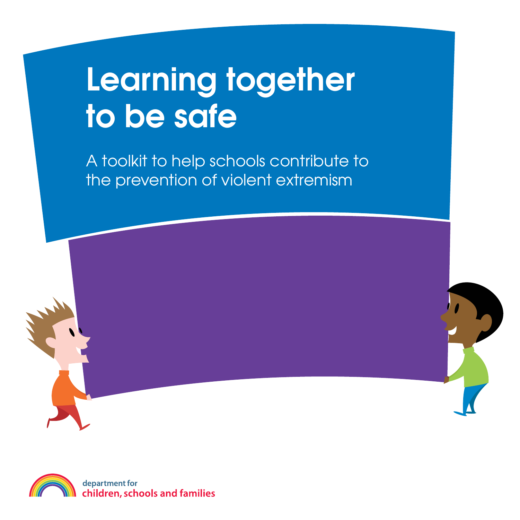# Learning together to be safe

A toolkit to help schools contribute to the prevention of violent extremism

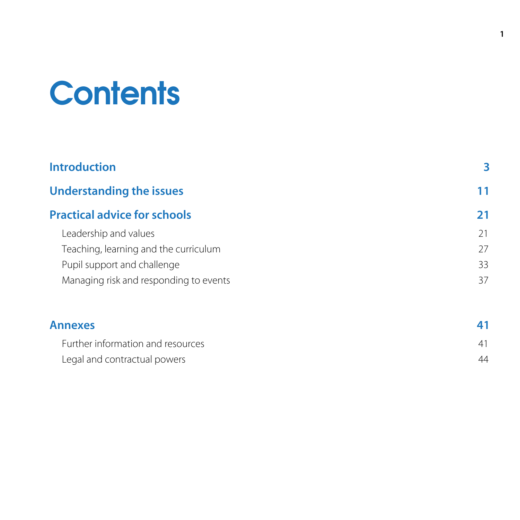# **Contents**

| <b>Introduction</b>                    | 3  |
|----------------------------------------|----|
| <b>Understanding the issues</b>        | 11 |
| <b>Practical advice for schools</b>    | 21 |
| Leadership and values                  | 21 |
| Teaching, learning and the curriculum  | 27 |
| Pupil support and challenge            | 33 |
| Managing risk and responding to events | 37 |
| <b>Annexes</b>                         |    |

| Further information and resources |  |
|-----------------------------------|--|
| Legal and contractual powers      |  |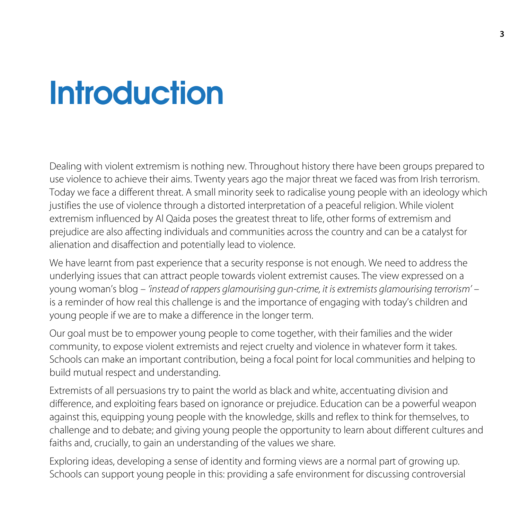## **Introduction**

Dealing with violent extremism is nothing new. Throughout history there have been groups prepared to use violence to achieve their aims. Twenty years ago the major threat we faced was from Irish terrorism. Today we face a different threat. A small minority seek to radicalise young people with an ideology which justifies the use of violence through a distorted interpretation of a peaceful religion. While violent extremism influenced by Al Qaida poses the greatest threat to life, other forms of extremism and prejudice are also affecting individuals and communities across the country and can be a catalyst for alienation and disaffection and potentially lead to violence.

We have learnt from past experience that a security response is not enough. We need to address the underlying issues that can attract people towards violent extremist causes. The view expressed on a young woman's blog – *'instead of rappers glamourising gun-crime, it is extremists glamourising terrorism'* – is a reminder of how real this challenge is and the importance of engaging with today's children and young people if we are to make a difference in the longer term.

Our goal must be to empower young people to come together, with their families and the wider community, to expose violent extremists and reject cruelty and violence in whatever form it takes. Schools can make an important contribution, being a focal point for local communities and helping to build mutual respect and understanding.

Extremists of all persuasions try to paint the world as black and white, accentuating division and difference, and exploiting fears based on ignorance or prejudice. Education can be a powerful weapon against this, equipping young people with the knowledge, skills and reflex to think for themselves, to challenge and to debate; and giving young people the opportunity to learn about different cultures and faiths and, crucially, to gain an understanding of the values we share.

Exploring ideas, developing a sense of identity and forming views are a normal part of growing up. Schools can support young people in this: providing a safe environment for discussing controversial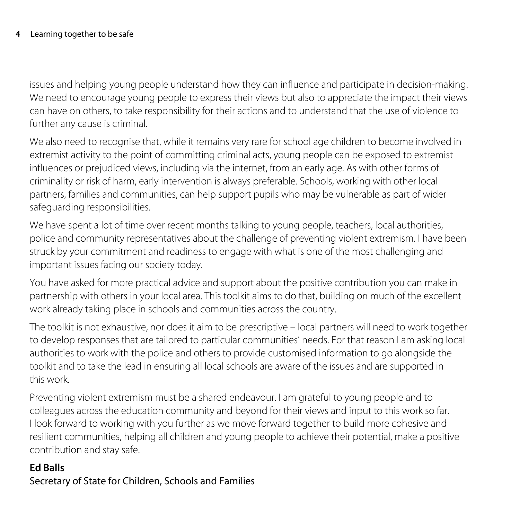issues and helping young people understand how they can influence and participate in decision-making. We need to encourage young people to express their views but also to appreciate the impact their views can have on others, to take responsibility for their actions and to understand that the use of violence to further any cause is criminal.

We also need to recognise that, while it remains very rare for school age children to become involved in extremist activity to the point of committing criminal acts, young people can be exposed to extremist influences or prejudiced views, including via the internet, from an early age. As with other forms of criminality or risk of harm, early intervention is always preferable. Schools, working with other local partners, families and communities, can help support pupils who may be vulnerable as part of wider safeguarding responsibilities.

We have spent a lot of time over recent months talking to young people, teachers, local authorities, police and community representatives about the challenge of preventing violent extremism. I have been struck by your commitment and readiness to engage with what is one of the most challenging and important issues facing our society today.

You have asked for more practical advice and support about the positive contribution you can make in partnership with others in your local area. This toolkit aims to do that, building on much of the excellent work already taking place in schools and communities across the country.

The toolkit is not exhaustive, nor does it aim to be prescriptive – local partners will need to work together to develop responses that are tailored to particular communities' needs. For that reason I am asking local authorities to work with the police and others to provide customised information to go alongside the toolkit and to take the lead in ensuring all local schools are aware of the issues and are supported in this work.

Preventing violent extremism must be a shared endeavour. I am grateful to young people and to colleagues across the education community and beyond for their views and input to this work so far. I look forward to working with you further as we move forward together to build more cohesive and resilient communities, helping all children and young people to achieve their potential, make a positive contribution and stay safe.

#### **Ed Balls**

Secretary of State for Children, Schools and Families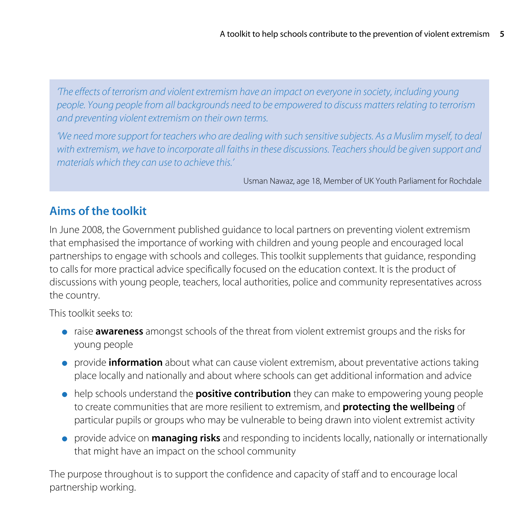*'The effects of terrorism and violent extremism have an impact on everyone in society, including young people. Young people from all backgrounds need to be empowered to discuss matters relating to terrorism and preventing violent extremism on their own terms.*

*'We need more support for teachers who are dealing with such sensitive subjects. As a Muslim myself, to deal with extremism, we have to incorporate all faiths in these discussions. Teachers should be given support and materials which they can use to achieve this.'*

Usman Nawaz, age 18, Member of UK Youth Parliament for Rochdale

## **Aims of the toolkit**

In June 2008, the Government published guidance to local partners on preventing violent extremism that emphasised the importance of working with children and young people and encouraged local partnerships to engage with schools and colleges. This toolkit supplements that guidance, responding to calls for more practical advice specifically focused on the education context. It is the product of discussions with young people, teachers, local authorities, police and community representatives across the country.

This toolkit seeks to:

- raise **awareness** amongst schools of the threat from violent extremist groups and the risks for young people
- provide **information** about what can cause violent extremism, about preventative actions taking place locally and nationally and about where schools can get additional information and advice
- help schools understand the **positive contribution** they can make to empowering young people to create communities that are more resilient to extremism, and **protecting the wellbeing** of particular pupils or groups who may be vulnerable to being drawn into violent extremist activity
- provide advice on **managing risks** and responding to incidents locally, nationally or internationally that might have an impact on the school community

The purpose throughout is to support the confidence and capacity of staff and to encourage local partnership working.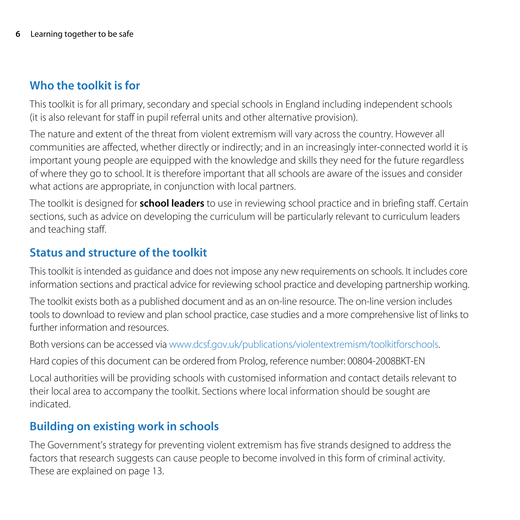## **Who the toolkit is for**

This toolkit is for all primary, secondary and special schools in England including independent schools (it is also relevant for staff in pupil referral units and other alternative provision).

The nature and extent of the threat from violent extremism will vary across the country. However all communities are affected, whether directly or indirectly; and in an increasingly inter-connected world it is important young people are equipped with the knowledge and skills they need for the future regardless of where they go to school. It is therefore important that all schools are aware of the issues and consider what actions are appropriate, in conjunction with local partners.

The toolkit is designed for **school leaders** to use in reviewing school practice and in briefing staff. Certain sections, such as advice on developing the curriculum will be particularly relevant to curriculum leaders and teaching staff.

## **Status and structure of the toolkit**

This toolkit is intended as guidance and does not impose any new requirements on schools. It includes core information sections and practical advice for reviewing school practice and developing partnership working.

The toolkit exists both as a published document and as an on-line resource. The on-line version includes tools to download to review and plan school practice, case studies and a more comprehensive list of links to further information and resources.

Both versions can be accessed via www.dcsf.gov.uk/publications/violentextremism/toolkitforschools.

Hard copies of this document can be ordered from Prolog, reference number: 00804-2008BKT-EN

Local authorities will be providing schools with customised information and contact details relevant to their local area to accompany the toolkit. Sections where local information should be sought are indicated.

## **Building on existing work in schools**

The Government's strategy for preventing violent extremism has five strands designed to address the factors that research suggests can cause people to become involved in this form of criminal activity. These are explained on page 13.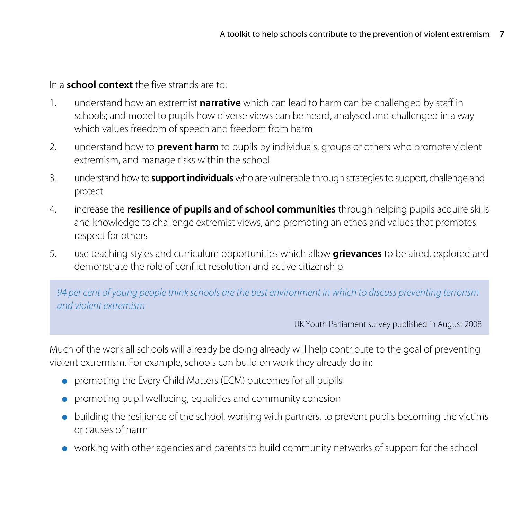In a **school context** the five strands are to:

- 1. understand how an extremist **narrative** which can lead to harm can be challenged by staff in schools; and model to pupils how diverse views can be heard, analysed and challenged in a way which values freedom of speech and freedom from harm
- 2. understand how to **prevent harm** to pupils by individuals, groups or others who promote violent extremism, and manage risks within the school
- 3. understand how to **support individuals** who are vulnerable through strategies to support, challenge and protect
- 4. increase the **resilience of pupils and of school communities** through helping pupils acquire skills and knowledge to challenge extremist views, and promoting an ethos and values that promotes respect for others
- 5. use teaching styles and curriculum opportunities which allow **grievances** to be aired, explored and demonstrate the role of conflict resolution and active citizenship

*94 per cent of young people think schools are the best environment in which to discuss preventing terrorism and violent extremism*

UK Youth Parliament survey published in August 2008

Much of the work all schools will already be doing already will help contribute to the goal of preventing violent extremism. For example, schools can build on work they already do in:

- promoting the Every Child Matters (ECM) outcomes for all pupils
- promoting pupil wellbeing, equalities and community cohesion
- building the resilience of the school, working with partners, to prevent pupils becoming the victims or causes of harm
- working with other agencies and parents to build community networks of support for the school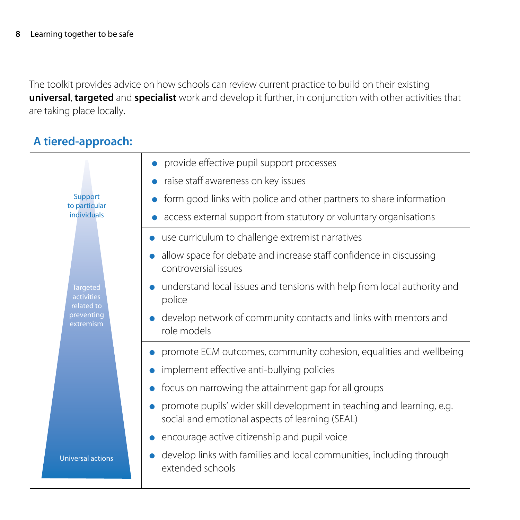The toolkit provides advice on how schools can review current practice to build on their existing **universal**, **targeted** and **specialist** work and develop it further, in conjunction with other activities that are taking place locally.

## **A tiered-approach:**

|                                             | provide effective pupil support processes                                                                                 |
|---------------------------------------------|---------------------------------------------------------------------------------------------------------------------------|
|                                             | • raise staff awareness on key issues                                                                                     |
| Support<br>to particular                    | form good links with police and other partners to share information                                                       |
| individuals                                 | access external support from statutory or voluntary organisations                                                         |
|                                             | use curriculum to challenge extremist narratives                                                                          |
|                                             | allow space for debate and increase staff confidence in discussing<br>controversial issues                                |
| <b>Targeted</b><br>activities<br>related to | understand local issues and tensions with help from local authority and<br>police                                         |
| preventing<br>extremism                     | develop network of community contacts and links with mentors and<br>role models                                           |
|                                             | promote ECM outcomes, community cohesion, equalities and wellbeing                                                        |
|                                             | implement effective anti-bullying policies                                                                                |
|                                             | focus on narrowing the attainment gap for all groups                                                                      |
|                                             | promote pupils' wider skill development in teaching and learning, e.g.<br>social and emotional aspects of learning (SEAL) |
|                                             | encourage active citizenship and pupil voice                                                                              |
| <b>Universal actions</b>                    | develop links with families and local communities, including through<br>extended schools                                  |
|                                             |                                                                                                                           |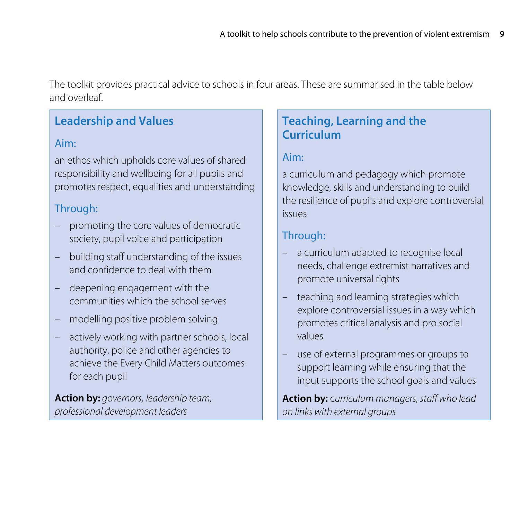The toolkit provides practical advice to schools in four areas. These are summarised in the table below and overleaf.

## **Leadership and Values**

#### Aim:

an ethos which upholds core values of shared responsibility and wellbeing for all pupils and promotes respect, equalities and understanding

## Through:

- promoting the core values of democratic society, pupil voice and participation
- building staff understanding of the issues and confidence to deal with them
- deepening engagement with the communities which the school serves
- modelling positive problem solving
- actively working with partner schools, local authority, police and other agencies to achieve the Every Child Matters outcomes for each pupil

**Action by:** *governors, leadership team, professional development leaders*

## **Teaching, Learning and the Curriculum**

## Aim:

a curriculum and pedagogy which promote knowledge, skills and understanding to build the resilience of pupils and explore controversial issues

## Through:

- a curriculum adapted to recognise local needs, challenge extremist narratives and promote universal rights
- teaching and learning strategies which explore controversial issues in a way which promotes critical analysis and pro social values
- use of external programmes or groups to support learning while ensuring that the input supports the school goals and values

**Action by:** c*urriculum managers, staff who lead on links with external groups*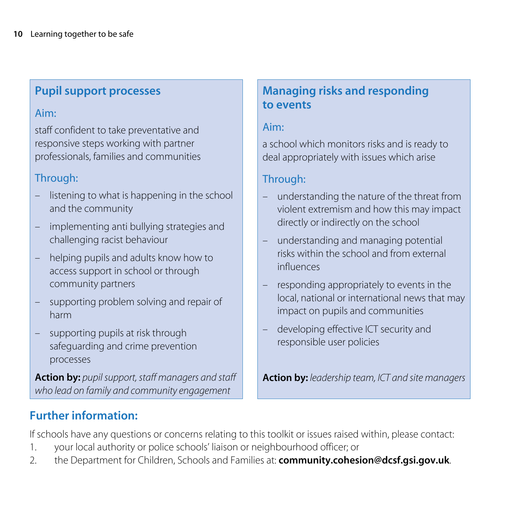## **Pupil support processes**

#### Aim:

staff confident to take preventative and responsive steps working with partner professionals, families and communities

## Through:

- listening to what is happening in the school and the community
- implementing anti bullying strategies and challenging racist behaviour
- helping pupils and adults know how to access support in school or through community partners
- supporting problem solving and repair of harm
- supporting pupils at risk through safeguarding and crime prevention processes

**Action by:** *pupil support, staff managers and staff who lead on family and community engagement*

## **Managing risks and responding to events**

#### Aim:

a school which monitors risks and is ready to deal appropriately with issues which arise

## Through:

- understanding the nature of the threat from violent extremism and how this may impact directly or indirectly on the school
- understanding and managing potential risks within the school and from external influences
- responding appropriately to events in the local, national or international news that may impact on pupils and communities
- developing effective ICT security and responsible user policies

**Action by:** *leadership team, ICT and site managers*

## **Further information:**

If schools have any questions or concerns relating to this toolkit or issues raised within, please contact:

- 1. your local authority or police schools' liaison or neighbourhood officer; or
- 2. the Department for Children, Schools and Families at: **[community.cohesion@dcsf.gsi.gov.uk](mailto:community.cohesion@dcsf.gsi.gov.uk)**.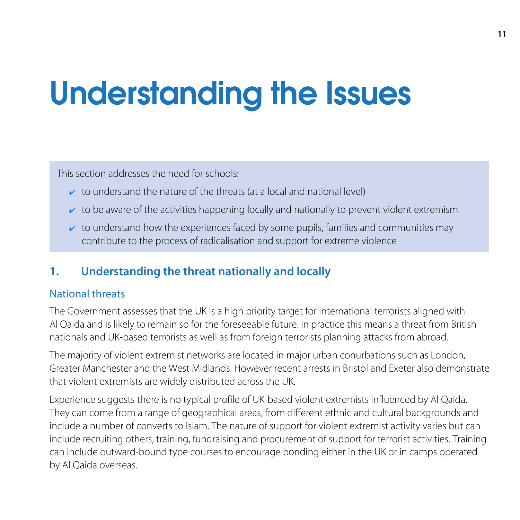# Understanding the Issues

This section addresses the need for schools:

- $\triangleright$  to understand the nature of the threats (at a local and national level)
- $\triangleright$  to be aware of the activities happening locally and nationally to prevent violent extremism
- $\triangleright$  to understand how the experiences faced by some pupils, families and communities may contribute to the process of radicalisation and support for extreme violence

## **1. Understanding the threat nationally and locally**

#### National threats

The Government assesses that the UK is a high priority target for international terrorists aligned with Al Qaida and is likely to remain so for the foreseeable future. In practice this means a threat from British nationals and UK-based terrorists as well as from foreign terrorists planning attacks from abroad.

The majority of violent extremist networks are located in major urban conurbations such as London, Greater Manchester and the West Midlands. However recent arrests in Bristol and Exeter also demonstrate that violent extremists are widely distributed across the UK.

Experience suggests there is no typical profile of UK-based violent extremists influenced by Al Qaida. They can come from a range of geographical areas, from different ethnic and cultural backgrounds and include a number of converts to Islam. The nature of support for violent extremist activity varies but can include recruiting others, training, fundraising and procurement of support for terrorist activities. Training can include outward-bound type courses to encourage bonding either in the UK or in camps operated by Al Qaida overseas.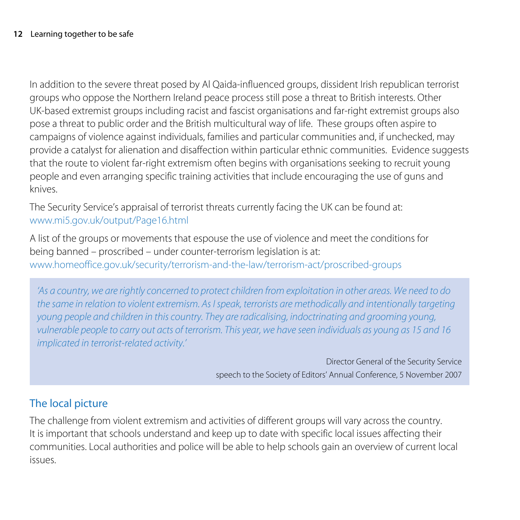In addition to the severe threat posed by Al Qaida-influenced groups, dissident Irish republican terrorist groups who oppose the Northern Ireland peace process still pose a threat to British interests. Other UK-based extremist groups including racist and fascist organisations and far-right extremist groups also pose a threat to public order and the British multicultural way of life. These groups often aspire to campaigns of violence against individuals, families and particular communities and, if unchecked, may provide a catalyst for alienation and disaffection within particular ethnic communities. Evidence suggests that the route to violent far-right extremism often begins with organisations seeking to recruit young people and even arranging specific training activities that include encouraging the use of guns and knives.

The Security Service's appraisal of terrorist threats currently facing the UK can be found at: [www.mi5.gov.uk/output/Page16.html](http://www.mi5.gov.uk/output/Page16.html)

A list of the groups or movements that espouse the use of violence and meet the conditions for being banned – proscribed – under counter-terrorism legislation is at: www.homeoffice.gov.uk/security/terrorism-and-the-law/terrorism-act/proscribed-groups

*'As a country, we are rightly concerned to protect children from exploitation in other areas. We need to do the same in relation to violent extremism. As I speak, terrorists are methodically and intentionally targeting young people and children in this country. They are radicalising, indoctrinating and grooming young, vulnerable people to carry out acts of terrorism. This year, we have seen individuals as young as 15 and 16 implicated in terrorist-related activity.'*

> Director General of the Security Service speech to the Society of Editors' Annual Conference, 5 November 2007

## The local picture

The challenge from violent extremism and activities of different groups will vary across the country. It is important that schools understand and keep up to date with specific local issues affecting their communities. Local authorities and police will be able to help schools gain an overview of current local issues.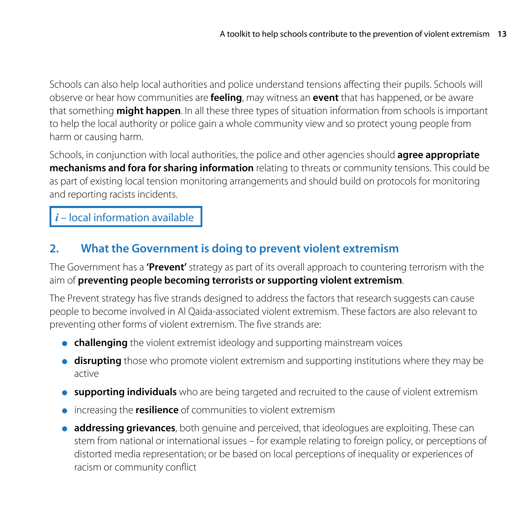Schools can also help local authorities and police understand tensions affecting their pupils. Schools will observe or hear how communities are **feeling**, may witness an **event** that has happened, or be aware that something **might happen**. In all these three types of situation information from schools is important to help the local authority or police gain a whole community view and so protect young people from harm or causing harm.

Schools, in conjunction with local authorities, the police and other agencies should **agree appropriate mechanisms and fora for sharing information** relating to threats or community tensions. This could be as part of existing local tension monitoring arrangements and should build on protocols for monitoring and reporting racists incidents.

## *i* – local information available

## **2. What the Government is doing to prevent violent extremism**

The Government has a **'Prevent'** strategy as part of its overall approach to countering terrorism with the aim of **preventing people becoming terrorists or supporting violent extremism**.

The Prevent strategy has five strands designed to address the factors that research suggests can cause people to become involved in Al Qaida-associated violent extremism. These factors are also relevant to preventing other forms of violent extremism. The five strands are:

- **challenging** the violent extremist ideology and supporting mainstream voices
- **· disrupting** those who promote violent extremism and supporting institutions where they may be active
- **supporting individuals** who are being targeted and recruited to the cause of violent extremism
- increasing the **resilience** of communities to violent extremism
- **addressing grievances**, both genuine and perceived, that ideologues are exploiting. These can stem from national or international issues – for example relating to foreign policy, or perceptions of distorted media representation; or be based on local perceptions of inequality or experiences of racism or community conflict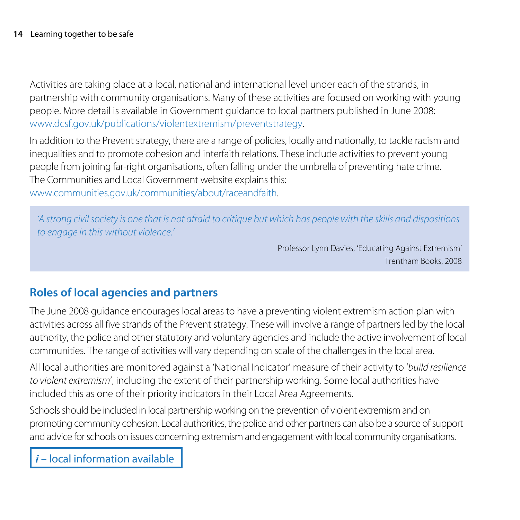Activities are taking place at a local, national and international level under each of the strands, in partnership with community organisations. Many of these activities are focused on working with young people. More detail is available in Government guidance to local partners published in June 2008: [www.dcsf.gov.uk/publications/violentextremism](http://www.dcsf.gov.uk/publications/violentextremism)/preventstrategy.

In addition to the Prevent strategy, there are a range of policies, locally and nationally, to tackle racism and inequalities and to promote cohesion and interfaith relations. These include activities to prevent young people from joining far-right organisations, often falling under the umbrella of preventing hate crime. The Communities and Local Government website explains this:

www.communities.gov.uk/communities/about/raceandfaith.

*'A strong civil society is one that is not afraid to critique but which has people with the skills and dispositions to engage in this without violence.'* 

> Professor Lynn Davies, 'Educating Against Extremism' Trentham Books, 2008

## **Roles of local agencies and partners**

The June 2008 guidance encourages local areas to have a preventing violent extremism action plan with activities across all five strands of the Prevent strategy. These will involve a range of partners led by the local authority, the police and other statutory and voluntary agencies and include the active involvement of local communities. The range of activities will vary depending on scale of the challenges in the local area.

All local authorities are monitored against a 'National Indicator' measure of their activity to '*build resilience to violent extremism*', including the extent of their partnership working. Some local authorities have included this as one of their priority indicators in their Local Area Agreements.

Schools should be included in local partnership working on the prevention of violent extremism and on promoting community cohesion. Local authorities, the police and other partners can also be a source of support and advice for schools on issues concerning extremism and engagement with local community organisations.

*i* – local information available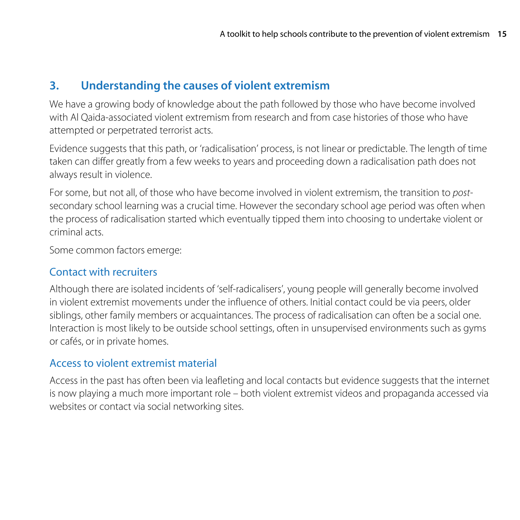## **3. Understanding the causes of violent extremism**

We have a growing body of knowledge about the path followed by those who have become involved with Al Qaida-associated violent extremism from research and from case histories of those who have attempted or perpetrated terrorist acts.

Evidence suggests that this path, or 'radicalisation' process, is not linear or predictable. The length of time taken can differ greatly from a few weeks to years and proceeding down a radicalisation path does not always result in violence.

For some, but not all, of those who have become involved in violent extremism, the transition to *post*secondary school learning was a crucial time. However the secondary school age period was often when the process of radicalisation started which eventually tipped them into choosing to undertake violent or criminal acts.

Some common factors emerge:

## Contact with recruiters

Although there are isolated incidents of 'self-radicalisers', young people will generally become involved in violent extremist movements under the influence of others. Initial contact could be via peers, older siblings, other family members or acquaintances. The process of radicalisation can often be a social one. Interaction is most likely to be outside school settings, often in unsupervised environments such as gyms or cafés, or in private homes.

## Access to violent extremist material

Access in the past has often been via leafleting and local contacts but evidence suggests that the internet is now playing a much more important role – both violent extremist videos and propaganda accessed via websites or contact via social networking sites.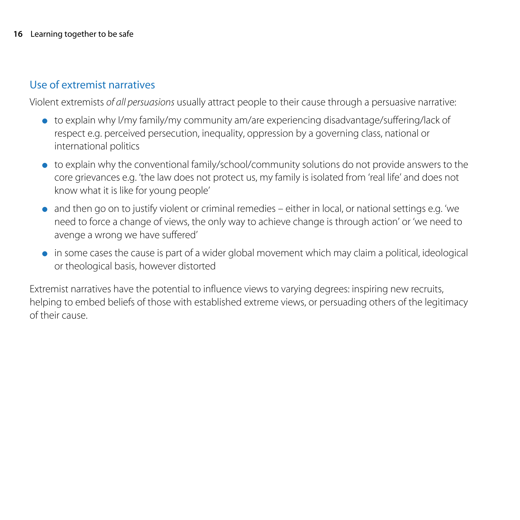## Use of extremist narratives

Violent extremists *of all persuasions* usually attract people to their cause through a persuasive narrative:

- $\bullet$  to explain why I/my family/my community am/are experiencing disadvantage/suffering/lack of respect e.g. perceived persecution, inequality, oppression by a governing class, national or international politics
- to explain why the conventional family/school/community solutions do not provide answers to the core grievances e.g. 'the law does not protect us, my family is isolated from 'real life' and does not know what it is like for young people'
- and then go on to justify violent or criminal remedies either in local, or national settings e.g. 'we need to force a change of views, the only way to achieve change is through action' or 'we need to avenge a wrong we have suffered'
- in some cases the cause is part of a wider global movement which may claim a political, ideological or theological basis, however distorted

Extremist narratives have the potential to influence views to varying degrees: inspiring new recruits, helping to embed beliefs of those with established extreme views, or persuading others of the legitimacy of their cause.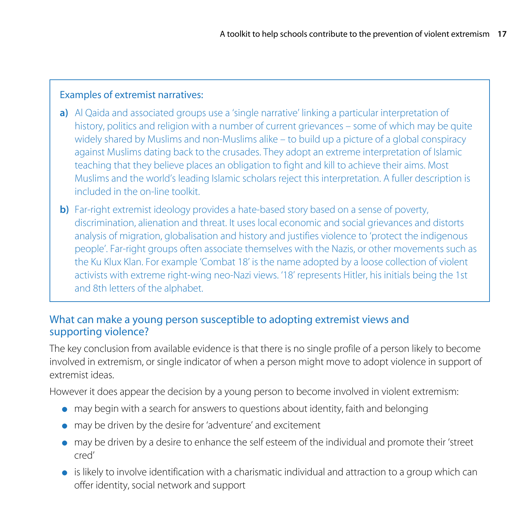#### Examples of extremist narratives:

- **a)** Al Qaida and associated groups use a 'single narrative' linking a particular interpretation of history, politics and religion with a number of current grievances – some of which may be quite widely shared by Muslims and non-Muslims alike – to build up a picture of a global conspiracy against Muslims dating back to the crusades. They adopt an extreme interpretation of Islamic teaching that they believe places an obligation to fight and kill to achieve their aims. Most Muslims and the world's leading Islamic scholars reject this interpretation. A fuller description is included in the on-line toolkit.
- **b)** Far-right extremist ideology provides a hate-based story based on a sense of poverty, discrimination, alienation and threat. It uses local economic and social grievances and distorts analysis of migration, globalisation and history and justifies violence to 'protect the indigenous people'. Far-right groups often associate themselves with the Nazis, or other movements such as the Ku Klux Klan. For example 'Combat 18' is the name adopted by a loose collection of violent activists with extreme right-wing neo-Nazi views. '18' represents Hitler, his initials being the 1st and 8th letters of the alphabet.

#### What can make a young person susceptible to adopting extremist views and supporting violence?

The key conclusion from available evidence is that there is no single profile of a person likely to become involved in extremism, or single indicator of when a person might move to adopt violence in support of extremist ideas.

However it does appear the decision by a young person to become involved in violent extremism:

- may begin with a search for answers to questions about identity, faith and belonging
- may be driven by the desire for 'adventure' and excitement
- may be driven by a desire to enhance the self esteem of the individual and promote their 'street cred'
- is likely to involve identification with a charismatic individual and attraction to a group which can offer identity, social network and support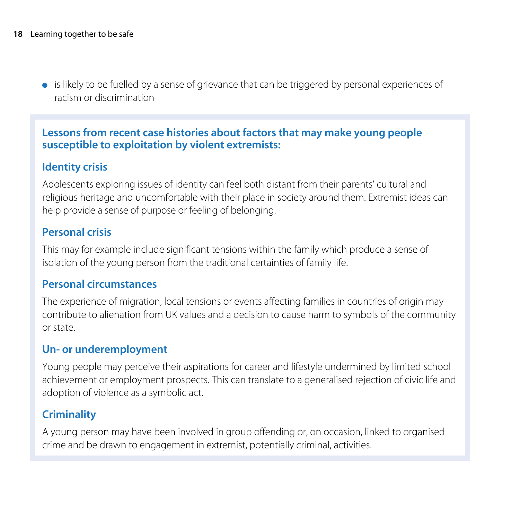● is likely to be fuelled by a sense of grievance that can be triggered by personal experiences of racism or discrimination

## **Lessons from recent case histories about factors that may make young people susceptible to exploitation by violent extremists:**

## **Identity crisis**

Adolescents exploring issues of identity can feel both distant from their parents' cultural and religious heritage and uncomfortable with their place in society around them. Extremist ideas can help provide a sense of purpose or feeling of belonging.

## **Personal crisis**

This may for example include significant tensions within the family which produce a sense of isolation of the young person from the traditional certainties of family life.

## **Personal circumstances**

The experience of migration, local tensions or events affecting families in countries of origin may contribute to alienation from UK values and a decision to cause harm to symbols of the community or state.

## **Un- or underemployment**

Young people may perceive their aspirations for career and lifestyle undermined by limited school achievement or employment prospects. This can translate to a generalised rejection of civic life and adoption of violence as a symbolic act.

## **Criminality**

A young person may have been involved in group offending or, on occasion, linked to organised crime and be drawn to engagement in extremist, potentially criminal, activities.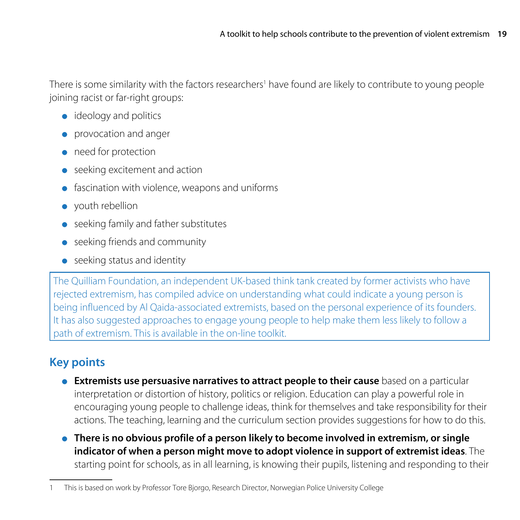There is some similarity with the factors researchers<sup>1</sup> have found are likely to contribute to young people joining racist or far-right groups:

- ideology and politics
- provocation and anger
- need for protection
- seeking excitement and action
- fascination with violence, weapons and uniforms
- youth rebellion
- seeking family and father substitutes
- seeking friends and community
- seeking status and identity

The Quilliam Foundation, an independent UK-based think tank created by former activists who have rejected extremism, has compiled advice on understanding what could indicate a young person is being influenced by Al Qaida-associated extremists, based on the personal experience of its founders. It has also suggested approaches to engage young people to help make them less likely to follow a path of extremism. This is available in the on-line toolkit.

## **Key points**

- **Extremists use persuasive narratives to attract people to their cause** based on a particular interpretation or distortion of history, politics or religion. Education can play a powerful role in encouraging young people to challenge ideas, think for themselves and take responsibility for their actions. The teaching, learning and the curriculum section provides suggestions for how to do this.
- **There is no obvious profile of a person likely to become involved in extremism, or single indicator of when a person might move to adopt violence in support of extremist ideas**. The starting point for schools, as in all learning, is knowing their pupils, listening and responding to their

<sup>1</sup> This is based on work by Professor Tore Bjorgo, Research Director, Norwegian Police University College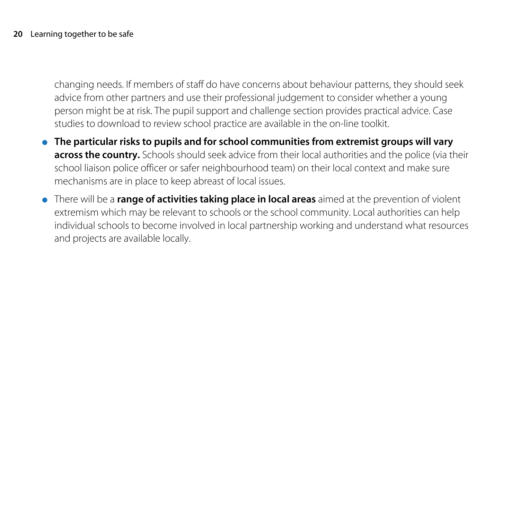changing needs. If members of staff do have concerns about behaviour patterns, they should seek advice from other partners and use their professional judgement to consider whether a young person might be at risk. The pupil support and challenge section provides practical advice. Case studies to download to review school practice are available in the on-line toolkit.

- **The particular risks to pupils and for school communities from extremist groups will vary across the country.** Schools should seek advice from their local authorities and the police (via their school liaison police officer or safer neighbourhood team) on their local context and make sure mechanisms are in place to keep abreast of local issues.
- There will be a **range of activities taking place in local areas** aimed at the prevention of violent extremism which may be relevant to schools or the school community. Local authorities can help individual schools to become involved in local partnership working and understand what resources and projects are available locally.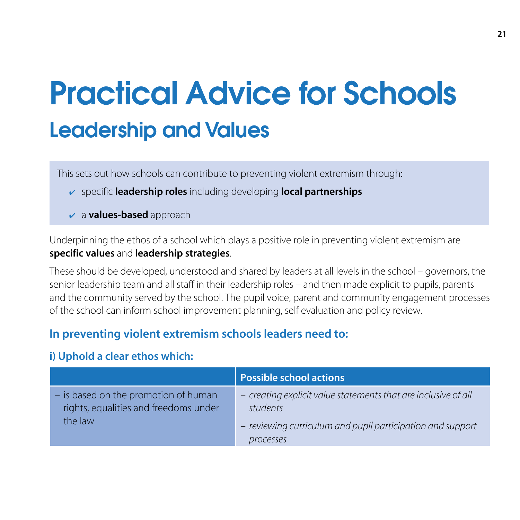## Practical Advice for Schools Leadership and Values

This sets out how schools can contribute to preventing violent extremism through:

- ✔ specific **leadership roles** including developing **local partnerships**
- ✔ a **values-based** approach

Underpinning the ethos of a school which plays a positive role in preventing violent extremism are **specific values** and **leadership strategies**.

These should be developed, understood and shared by leaders at all levels in the school – governors, the senior leadership team and all staff in their leadership roles – and then made explicit to pupils, parents and the community served by the school. The pupil voice, parent and community engagement processes of the school can inform school improvement planning, self evaluation and policy review.

## **In preventing violent extremism schools leaders need to:**

## **i) Uphold a clear ethos which:**

|                                                                                          | Possible school actions                                                                                                                               |
|------------------------------------------------------------------------------------------|-------------------------------------------------------------------------------------------------------------------------------------------------------|
| - is based on the promotion of human<br>rights, equalities and freedoms under<br>the law | - creating explicit value statements that are inclusive of all<br>students<br>- reviewing curriculum and pupil participation and support<br>processes |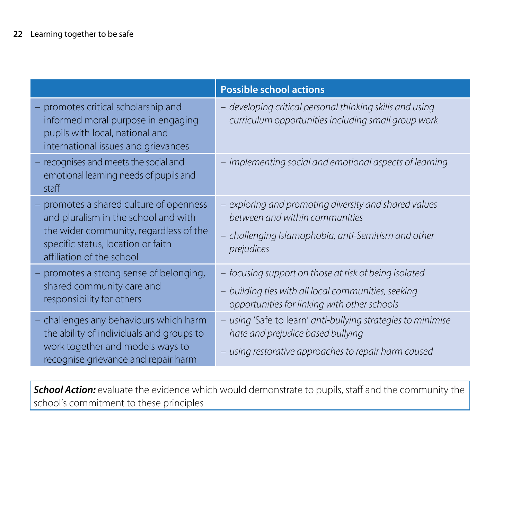|                                                                                                                                                                                              | <b>Possible school actions</b>                                                                                                                               |
|----------------------------------------------------------------------------------------------------------------------------------------------------------------------------------------------|--------------------------------------------------------------------------------------------------------------------------------------------------------------|
| promotes critical scholarship and<br>informed moral purpose in engaging<br>pupils with local, national and<br>international issues and grievances                                            | - developing critical personal thinking skills and using<br>curriculum opportunities including small group work                                              |
| - recognises and meets the social and<br>emotional learning needs of pupils and<br>staff                                                                                                     | - implementing social and emotional aspects of learning                                                                                                      |
| - promotes a shared culture of openness<br>and pluralism in the school and with<br>the wider community, regardless of the<br>specific status, location or faith<br>affiliation of the school | - exploring and promoting diversity and shared values<br>between and within communities<br>challenging Islamophobia, anti-Semitism and other<br>prejudices   |
| - promotes a strong sense of belonging,<br>shared community care and<br>responsibility for others                                                                                            | - focusing support on those at risk of being isolated<br>- building ties with all local communities, seeking<br>opportunities for linking with other schools |
| - challenges any behaviours which harm<br>the ability of individuals and groups to<br>work together and models ways to<br>recognise grievance and repair harm                                | - using 'Safe to learn' anti-bullying strategies to minimise<br>hate and prejudice based bullying<br>- using restorative approaches to repair harm caused    |

**School Action:** evaluate the evidence which would demonstrate to pupils, staff and the community the school's commitment to these principles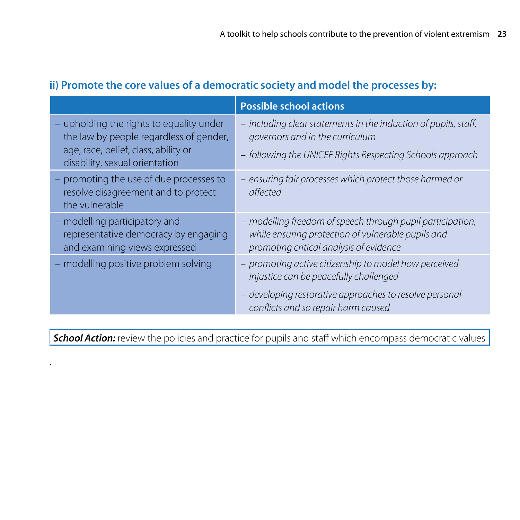|                                                                                                                                                               | <b>Possible school actions</b>                                                                                                                                                                    |
|---------------------------------------------------------------------------------------------------------------------------------------------------------------|---------------------------------------------------------------------------------------------------------------------------------------------------------------------------------------------------|
| - upholding the rights to equality under<br>the law by people regardless of gender,<br>age, race, belief, class, ability or<br>disability, sexual orientation | - including clear statements in the induction of pupils, staff,<br>governors and in the curriculum<br>- following the UNICEF Rights Respecting Schools approach                                   |
| - promoting the use of due processes to<br>resolve disagreement and to protect<br>the vulnerable                                                              | - ensuring fair processes which protect those harmed or<br>affected                                                                                                                               |
| - modelling participatory and<br>representative democracy by engaging<br>and examining views expressed                                                        | - modelling freedom of speech through pupil participation,<br>while ensuring protection of vulnerable pupils and<br>promoting critical analysis of evidence                                       |
| - modelling positive problem solving                                                                                                                          | - promoting active citizenship to model how perceived<br>injustice can be peacefully challenged<br>- developing restorative approaches to resolve personal<br>conflicts and so repair harm caused |

**School Action:** review the policies and practice for pupils and staff which encompass democratic values

.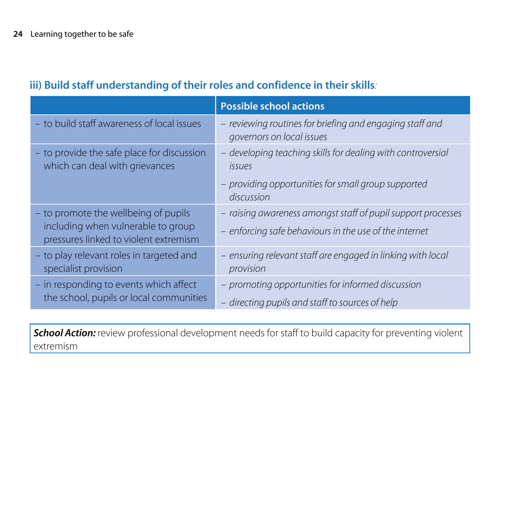|                                                                              | <b>Possible school actions</b>                                                        |
|------------------------------------------------------------------------------|---------------------------------------------------------------------------------------|
| - to build staff awareness of local issues                                   | - reviewing routines for briefing and engaging staff and<br>governors on local issues |
| - to provide the safe place for discussion<br>which can deal with grievances | - developing teaching skills for dealing with controversial<br><i>issues</i>          |
|                                                                              | - providing opportunities for small group supported<br>discussion                     |
| - to promote the wellbeing of pupils                                         | - raising awareness amongst staff of pupil support processes                          |
| including when vulnerable to group<br>pressures linked to violent extremism  | - enforcing safe behaviours in the use of the internet                                |
| - to play relevant roles in targeted and<br>specialist provision             | - ensuring relevant staff are engaged in linking with local<br>provision              |
| - in responding to events which affect                                       | - promoting opportunities for informed discussion                                     |
| the school, pupils or local communities                                      | - directing pupils and staff to sources of help                                       |

## **iii) Build staff understanding of their roles and confidence in their skills***:*

**School Action:** review professional development needs for staff to build capacity for preventing violent extremism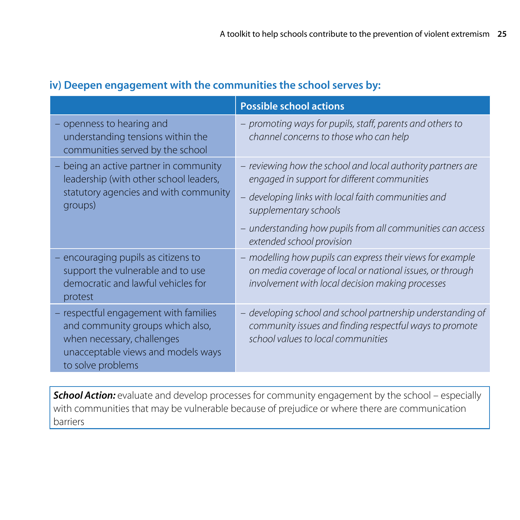|                                                                                                                                                                    | <b>Possible school actions</b>                                                                                                                                                                                                                                                       |
|--------------------------------------------------------------------------------------------------------------------------------------------------------------------|--------------------------------------------------------------------------------------------------------------------------------------------------------------------------------------------------------------------------------------------------------------------------------------|
| - openness to hearing and<br>understanding tensions within the<br>communities served by the school                                                                 | - promoting ways for pupils, staff, parents and others to<br>channel concerns to those who can help                                                                                                                                                                                  |
| being an active partner in community<br>leadership (with other school leaders,<br>statutory agencies and with community<br>groups)                                 | - reviewing how the school and local authority partners are<br>engaged in support for different communities<br>developing links with local faith communities and<br>supplementary schools<br>- understanding how pupils from all communities can access<br>extended school provision |
| encouraging pupils as citizens to<br>support the vulnerable and to use<br>democratic and lawful vehicles for<br>protest                                            | - modelling how pupils can express their views for example<br>on media coverage of local or national issues, or through<br>involvement with local decision making processes                                                                                                          |
| - respectful engagement with families<br>and community groups which also,<br>when necessary, challenges<br>unacceptable views and models ways<br>to solve problems | - developing school and school partnership understanding of<br>community issues and finding respectful ways to promote<br>school values to local communities                                                                                                                         |

## **iv) Deepen engagement with the communities the school serves by:**

**School Action:** evaluate and develop processes for community engagement by the school - especially with communities that may be vulnerable because of prejudice or where there are communication barriers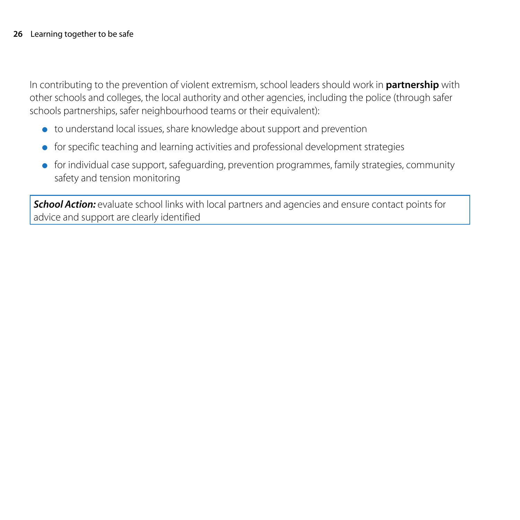In contributing to the prevention of violent extremism, school leaders should work in **partnership** with other schools and colleges, the local authority and other agencies, including the police (through safer schools partnerships, safer neighbourhood teams or their equivalent):

- to understand local issues, share knowledge about support and prevention
- for specific teaching and learning activities and professional development strategies
- for individual case support, safeguarding, prevention programmes, family strategies, community safety and tension monitoring

**School Action:** evaluate school links with local partners and agencies and ensure contact points for advice and support are clearly identified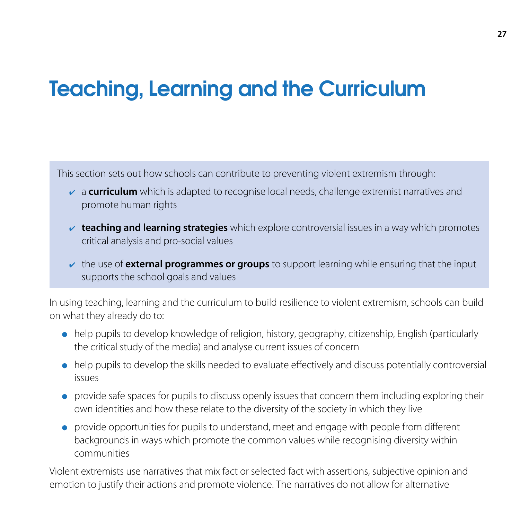## Teaching, Learning and the Curriculum

This section sets out how schools can contribute to preventing violent extremism through:

- ✔ a **curriculum** which is adapted to recognise local needs, challenge extremist narratives and promote human rights
- ✔ **teaching and learning strategies** which explore controversial issues in a way which promotes critical analysis and pro-social values
- ✔ the use of **external programmes or groups** to support learning while ensuring that the input supports the school goals and values

In using teaching, learning and the curriculum to build resilience to violent extremism, schools can build on what they already do to:

- help pupils to develop knowledge of religion, history, geography, citizenship, English (particularly the critical study of the media) and analyse current issues of concern
- help pupils to develop the skills needed to evaluate effectively and discuss potentially controversial issues
- provide safe spaces for pupils to discuss openly issues that concern them including exploring their own identities and how these relate to the diversity of the society in which they live
- provide opportunities for pupils to understand, meet and engage with people from different backgrounds in ways which promote the common values while recognising diversity within communities

Violent extremists use narratives that mix fact or selected fact with assertions, subjective opinion and emotion to justify their actions and promote violence. The narratives do not allow for alternative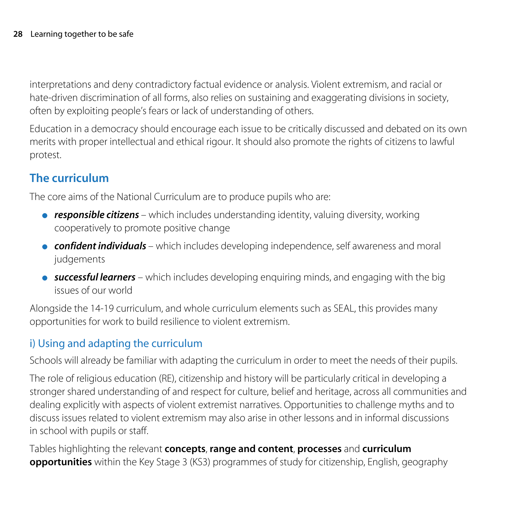interpretations and deny contradictory factual evidence or analysis. Violent extremism, and racial or hate-driven discrimination of all forms, also relies on sustaining and exaggerating divisions in society, often by exploiting people's fears or lack of understanding of others.

Education in a democracy should encourage each issue to be critically discussed and debated on its own merits with proper intellectual and ethical rigour. It should also promote the rights of citizens to lawful protest.

## **The curriculum**

The core aims of the National Curriculum are to produce pupils who are:

- *responsible citizens*  which includes understanding identity, valuing diversity, working cooperatively to promote positive change
- *confident individuals*  which includes developing independence, self awareness and moral judgements
- *successful learners* which includes developing enquiring minds, and engaging with the big issues of our world

Alongside the 14-19 curriculum, and whole curriculum elements such as SEAL, this provides many opportunities for work to build resilience to violent extremism.

## i) Using and adapting the curriculum

Schools will already be familiar with adapting the curriculum in order to meet the needs of their pupils.

The role of religious education (RE), citizenship and history will be particularly critical in developing a stronger shared understanding of and respect for culture, belief and heritage, across all communities and dealing explicitly with aspects of violent extremist narratives. Opportunities to challenge myths and to discuss issues related to violent extremism may also arise in other lessons and in informal discussions in school with pupils or staff.

Tables highlighting the relevant **concepts**, **range and content**, **processes** and **curriculum opportunities** within the Key Stage 3 (KS3) programmes of study for citizenship, English, geography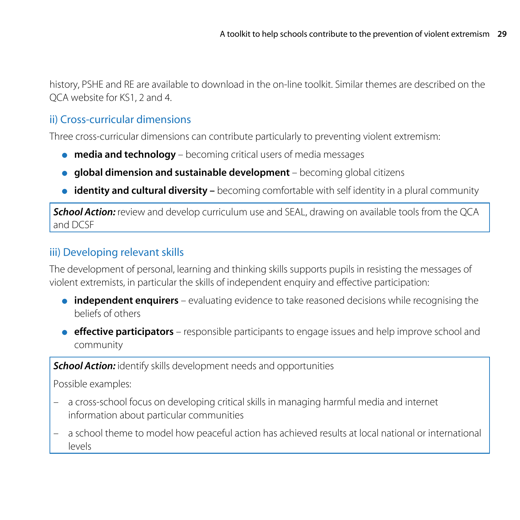history, PSHE and RE are available to download in the on-line toolkit. Similar themes are described on the QCA website for KS1, 2 and 4.

## ii) Cross-curricular dimensions

Three cross-curricular dimensions can contribute particularly to preventing violent extremism:

- **media and technology** becoming critical users of media messages
- **global dimension and sustainable development**  becoming global citizens
- **identity and cultural diversity** becoming comfortable with self identity in a plural community

**School Action:** review and develop curriculum use and SEAL, drawing on available tools from the QCA and DCSF

## iii) Developing relevant skills

The development of personal, learning and thinking skills supports pupils in resisting the messages of violent extremists, in particular the skills of independent enquiry and effective participation:

- **independent enquirers** evaluating evidence to take reasoned decisions while recognising the beliefs of others
- **e effective participators** responsible participants to engage issues and help improve school and community

**School Action:** identify skills development needs and opportunities

Possible examples:

- a cross-school focus on developing critical skills in managing harmful media and internet information about particular communities
- a school theme to model how peaceful action has achieved results at local national or international levels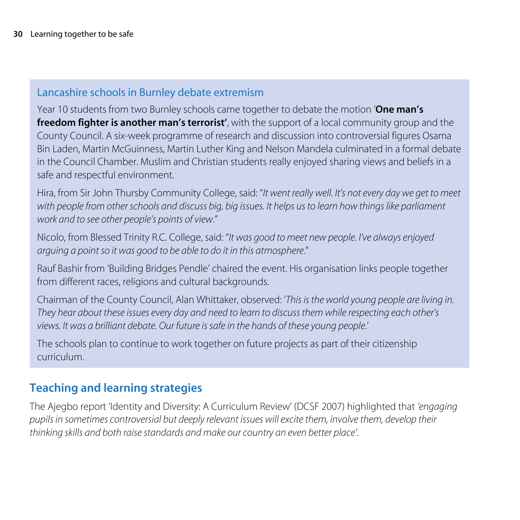## Lancashire schools in Burnley debate extremism

Year 10 students from two Burnley schools came together to debate the motion '**One man's freedom fighter is another man's terrorist'**, with the support of a local community group and the County Council. A six-week programme of research and discussion into controversial figures Osama Bin Laden, Martin McGuinness, Martin Luther King and Nelson Mandela culminated in a formal debate in the Council Chamber. Muslim and Christian students really enjoyed sharing views and beliefs in a safe and respectful environment.

Hira, from Sir John Thursby Community College, said: "*It went really well. It's not every day we get to meet with people from other schools and discuss big, big issues. It helps us to learn how things like parliament work and to see other people's points of view*."

Nicolo, from Blessed Trinity R.C. College, said: "*It was good to meet new people. I've always enjoyed arguing a point so it was good to be able to do it in this atmosphere*."

Rauf Bashir from 'Building Bridges Pendle' chaired the event. His organisation links people together from different races, religions and cultural backgrounds.

Chairman of the County Council, Alan Whittaker, observed: '*This is the world young people are living in. They hear about these issues every day and need to learn to discuss them while respecting each other's views. It was a brilliant debate. Our future is safe in the hands of these young people*.'

The schools plan to continue to work together on future projects as part of their citizenship curriculum.

## **Teaching and learning strategies**

The Ajegbo report 'Identity and Diversity: A Curriculum Review' (DCSF 2007) highlighted that *'engaging pupils in sometimes controversial but deeply relevant issues will excite them, involve them, develop their thinking skills and both raise standards and make our country an even better place'*.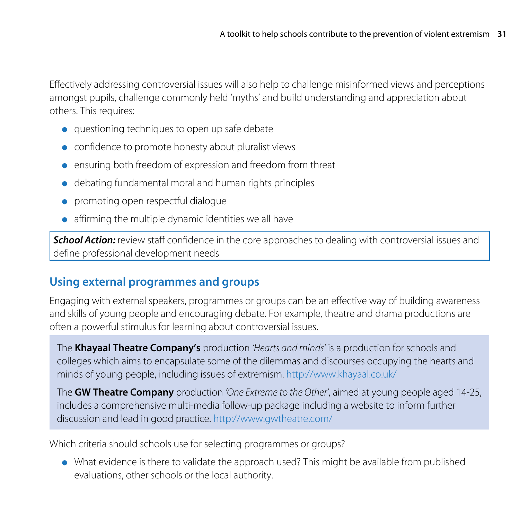Effectively addressing controversial issues will also help to challenge misinformed views and perceptions amongst pupils, challenge commonly held 'myths' and build understanding and appreciation about others. This requires:

- questioning techniques to open up safe debate
- confidence to promote honesty about pluralist views
- ensuring both freedom of expression and freedom from threat
- debating fundamental moral and human rights principles
- promoting open respectful dialogue
- affirming the multiple dynamic identities we all have

**School Action:** review staff confidence in the core approaches to dealing with controversial issues and define professional development needs

## **Using external programmes and groups**

Engaging with external speakers, programmes or groups can be an effective way of building awareness and skills of young people and encouraging debate. For example, theatre and drama productions are often a powerful stimulus for learning about controversial issues.

The **Khayaal Theatre Company's** production *'Hearts and minds'* is a production for schools and colleges which aims to encapsulate some of the dilemmas and discourses occupying the hearts and minds of young people, including issues of extremism. <http://www.khayaal.co.uk/>

The **GW Theatre Company** production *'One Extreme to the Other'*, aimed at young people aged 14-25, includes a comprehensive multi-media follow-up package including a website to inform further discussion and lead in good practice.<http://www.gwtheatre.com/>

Which criteria should schools use for selecting programmes or groups?

● What evidence is there to validate the approach used? This might be available from published evaluations, other schools or the local authority.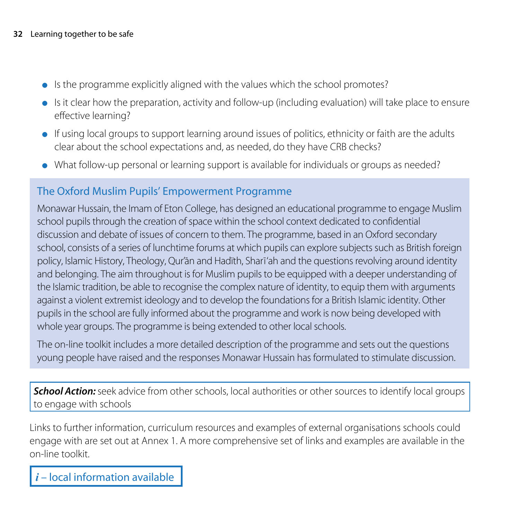- Is the programme explicitly aligned with the values which the school promotes?
- Is it clear how the preparation, activity and follow-up (including evaluation) will take place to ensure effective learning?
- If using local groups to support learning around issues of politics, ethnicity or faith are the adults clear about the school expectations and, as needed, do they have CRB checks?
- What follow-up personal or learning support is available for individuals or groups as needed?

## The Oxford Muslim Pupils' Empowerment Programme

Monawar Hussain, the Imam of Eton College, has designed an educational programme to engage Muslim school pupils through the creation of space within the school context dedicated to confidential discussion and debate of issues of concern to them. The programme, based in an Oxford secondary school, consists of a series of lunchtime forums at which pupils can explore subjects such as British foreign policy, Islamic History, Theology, Our'ān and Hadïth, Sharī'ah and the questions revolving around identity and belonging. The aim throughout is for Muslim pupils to be equipped with a deeper understanding of the Islamic tradition, be able to recognise the complex nature of identity, to equip them with arguments against a violent extremist ideology and to develop the foundations for a British Islamic identity. Other pupils in the school are fully informed about the programme and work is now being developed with whole year groups. The programme is being extended to other local schools.

The on-line toolkit includes a more detailed description of the programme and sets out the questions young people have raised and the responses Monawar Hussain has formulated to stimulate discussion.

**School Action:** seek advice from other schools, local authorities or other sources to identify local groups to engage with schools

Links to further information, curriculum resources and examples of external organisations schools could engage with are set out at Annex 1. A more comprehensive set of links and examples are available in the on-line toolkit.

*i* – local information available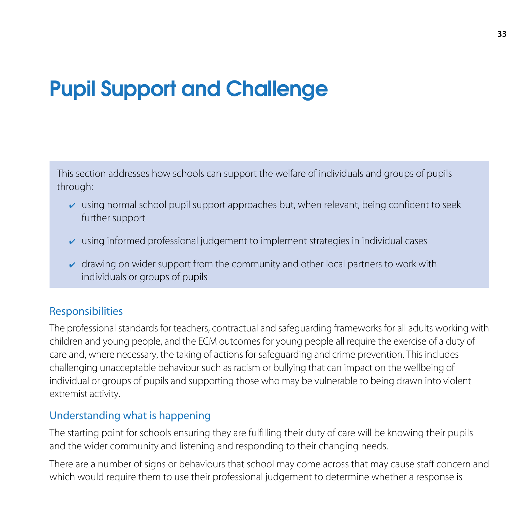## Pupil Support and Challenge

This section addresses how schools can support the welfare of individuals and groups of pupils through:

- $\triangleright$  using normal school pupil support approaches but, when relevant, being confident to seek further support
- $\triangleright$  using informed professional judgement to implement strategies in individual cases
- $\sim$  drawing on wider support from the community and other local partners to work with individuals or groups of pupils

## Responsibilities

The professional standards for teachers, contractual and safeguarding frameworks for all adults working with children and young people, and the ECM outcomes for young people all require the exercise of a duty of care and, where necessary, the taking of actions for safeguarding and crime prevention. This includes challenging unacceptable behaviour such as racism or bullying that can impact on the wellbeing of individual or groups of pupils and supporting those who may be vulnerable to being drawn into violent extremist activity.

#### Understanding what is happening

The starting point for schools ensuring they are fulfilling their duty of care will be knowing their pupils and the wider community and listening and responding to their changing needs.

There are a number of signs or behaviours that school may come across that may cause staff concern and which would require them to use their professional judgement to determine whether a response is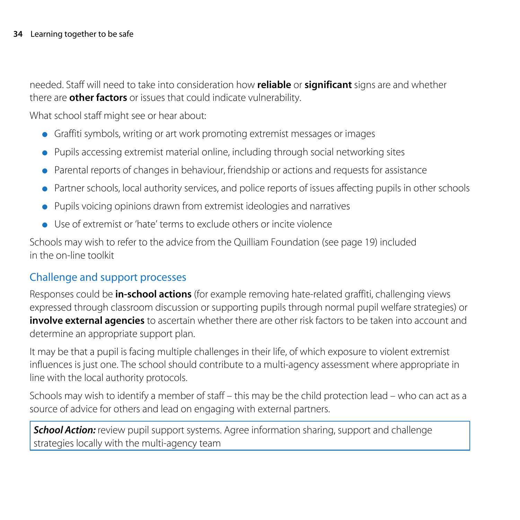needed. Staff will need to take into consideration how **reliable** or **significant** signs are and whether there are **other factors** or issues that could indicate vulnerability.

What school staff might see or hear about:

- Graffiti symbols, writing or art work promoting extremist messages or images
- Pupils accessing extremist material online, including through social networking sites
- Parental reports of changes in behaviour, friendship or actions and requests for assistance
- Partner schools, local authority services, and police reports of issues affecting pupils in other schools
- Pupils voicing opinions drawn from extremist ideologies and narratives
- Use of extremist or 'hate' terms to exclude others or incite violence

Schools may wish to refer to the advice from the Quilliam Foundation (see page 19) included in the on-line toolkit

## Challenge and support processes

Responses could be **in-school actions** (for example removing hate-related graffiti, challenging views expressed through classroom discussion or supporting pupils through normal pupil welfare strategies) or **involve external agencies** to ascertain whether there are other risk factors to be taken into account and determine an appropriate support plan.

It may be that a pupil is facing multiple challenges in their life, of which exposure to violent extremist influences is just one. The school should contribute to a multi-agency assessment where appropriate in line with the local authority protocols.

Schools may wish to identify a member of staff – this may be the child protection lead – who can act as a source of advice for others and lead on engaging with external partners.

**School Action:** review pupil support systems. Agree information sharing, support and challenge strategies locally with the multi-agency team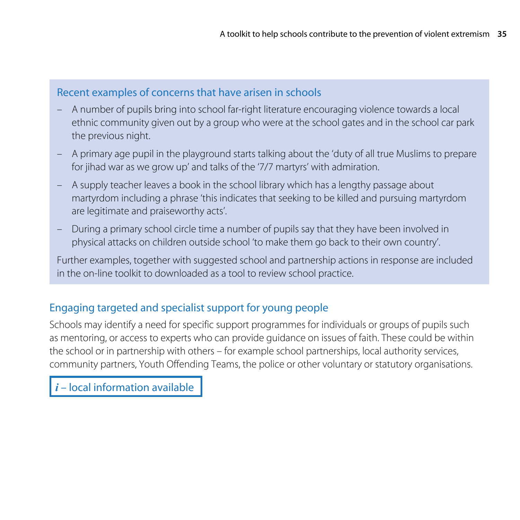#### Recent examples of concerns that have arisen in schools

- A number of pupils bring into school far-right literature encouraging violence towards a local ethnic community given out by a group who were at the school gates and in the school car park the previous night.
- A primary age pupil in the playground starts talking about the 'duty of all true Muslims to prepare for jihad war as we grow up' and talks of the '7/7 martyrs' with admiration.
- A supply teacher leaves a book in the school library which has a lengthy passage about martyrdom including a phrase 'this indicates that seeking to be killed and pursuing martyrdom are legitimate and praiseworthy acts'.
- During a primary school circle time a number of pupils say that they have been involved in physical attacks on children outside school 'to make them go back to their own country'.

Further examples, together with suggested school and partnership actions in response are included in the on-line toolkit to downloaded as a tool to review school practice.

## Engaging targeted and specialist support for young people

Schools may identify a need for specific support programmes for individuals or groups of pupils such as mentoring, or access to experts who can provide guidance on issues of faith. These could be within the school or in partnership with others – for example school partnerships, local authority services, community partners, Youth Offending Teams, the police or other voluntary or statutory organisations.

*i* – local information available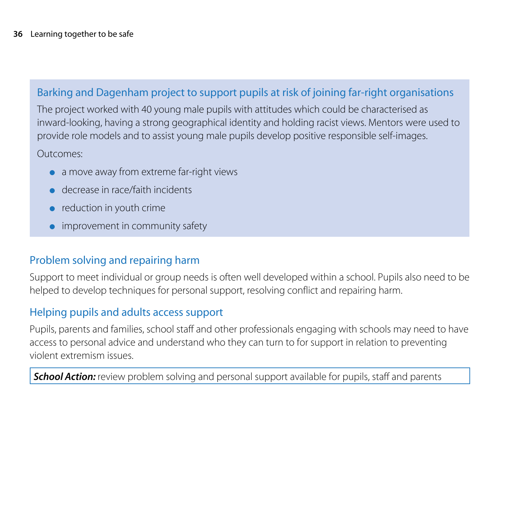## Barking and Dagenham project to support pupils at risk of joining far-right organisations

The project worked with 40 young male pupils with attitudes which could be characterised as inward-looking, having a strong geographical identity and holding racist views. Mentors were used to provide role models and to assist young male pupils develop positive responsible self-images.

Outcomes:

- a move away from extreme far-right views
- decrease in race/faith incidents
- reduction in youth crime
- $\bullet$  improvement in community safety

## Problem solving and repairing harm

Support to meet individual or group needs is often well developed within a school. Pupils also need to be helped to develop techniques for personal support, resolving conflict and repairing harm.

## Helping pupils and adults access support

Pupils, parents and families, school staff and other professionals engaging with schools may need to have access to personal advice and understand who they can turn to for support in relation to preventing violent extremism issues.

**School Action:** review problem solving and personal support available for pupils, staff and parents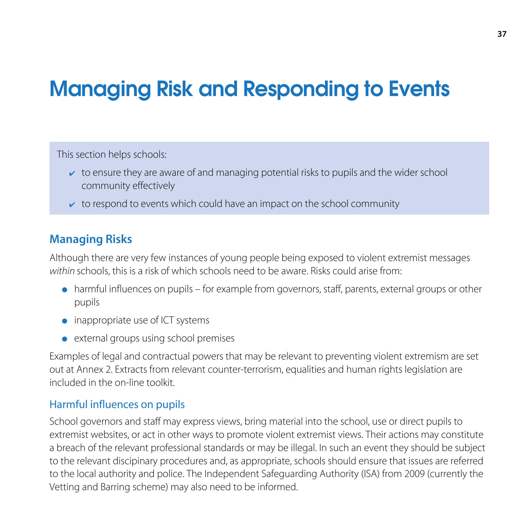## Managing Risk and Responding to Events

This section helps schools:

- $\triangleright$  to ensure they are aware of and managing potential risks to pupils and the wider school community effectively
- $\triangleright$  to respond to events which could have an impact on the school community

## **Managing Risks**

Although there are very few instances of young people being exposed to violent extremist messages *within* schools, this is a risk of which schools need to be aware. Risks could arise from:

- harmful influences on pupils for example from governors, staff, parents, external groups or other pupils
- inappropriate use of ICT systems
- external groups using school premises

Examples of legal and contractual powers that may be relevant to preventing violent extremism are set out at Annex 2. Extracts from relevant counter-terrorism, equalities and human rights legislation are included in the on-line toolkit.

## Harmful influences on pupils

School governors and staff may express views, bring material into the school, use or direct pupils to extremist websites, or act in other ways to promote violent extremist views. Their actions may constitute a breach of the relevant professional standards or may be illegal. In such an event they should be subject to the relevant discipinary procedures and, as appropriate, schools should ensure that issues are referred to the local authority and police. The Independent Safeguarding Authority (ISA) from 2009 (currently the Vetting and Barring scheme) may also need to be informed.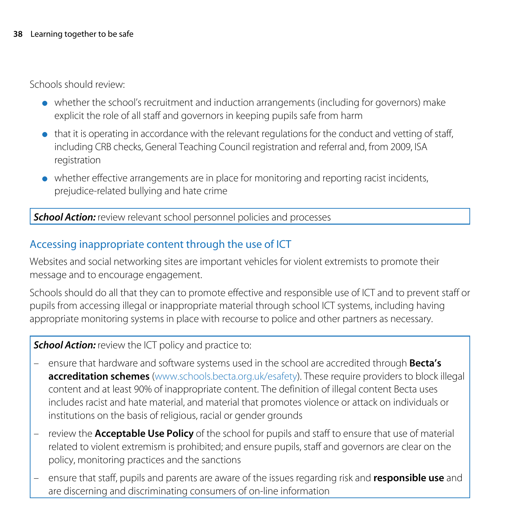Schools should review:

- whether the school's recruitment and induction arrangements (including for governors) make explicit the role of all staff and governors in keeping pupils safe from harm
- that it is operating in accordance with the relevant regulations for the conduct and vetting of staff, including CRB checks, General Teaching Council registration and referral and, from 2009, ISA registration
- whether effective arrangements are in place for monitoring and reporting racist incidents, prejudice-related bullying and hate crime

*School Action:* review relevant school personnel policies and processes

## Accessing inappropriate content through the use of ICT

Websites and social networking sites are important vehicles for violent extremists to promote their message and to encourage engagement.

Schools should do all that they can to promote effective and responsible use of ICT and to prevent staff or pupils from accessing illegal or inappropriate material through school ICT systems, including having appropriate monitoring systems in place with recourse to police and other partners as necessary.

#### **School Action:** review the ICT policy and practice to:

- ensure that hardware and software systems used in the school are accredited through **Becta's accreditation schemes** [\(www.schools.becta.org.uk/esafety](http://www.schools.becta.org.uk/esafety)). These require providers to block illegal content and at least 90% of inappropriate content. The definition of illegal content Becta uses includes racist and hate material, and material that promotes violence or attack on individuals or institutions on the basis of religious, racial or gender grounds
- review the **Acceptable Use Policy** of the school for pupils and staff to ensure that use of material related to violent extremism is prohibited; and ensure pupils, staff and governors are clear on the policy, monitoring practices and the sanctions
- ensure that staff, pupils and parents are aware of the issues regarding risk and **responsible use** and are discerning and discriminating consumers of on-line information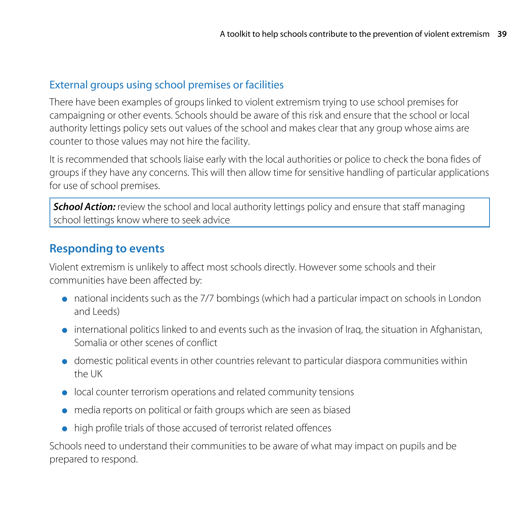## External groups using school premises or facilities

There have been examples of groups linked to violent extremism trying to use school premises for campaigning or other events. Schools should be aware of this risk and ensure that the school or local authority lettings policy sets out values of the school and makes clear that any group whose aims are counter to those values may not hire the facility.

It is recommended that schools liaise early with the local authorities or police to check the bona fides of groups if they have any concerns. This will then allow time for sensitive handling of particular applications for use of school premises.

**School Action:** review the school and local authority lettings policy and ensure that staff managing school lettings know where to seek advice

## **Responding to events**

Violent extremism is unlikely to affect most schools directly. However some schools and their communities have been affected by:

- national incidents such as the 7/7 bombings (which had a particular impact on schools in London and Leeds)
- international politics linked to and events such as the invasion of Iraq, the situation in Afghanistan, Somalia or other scenes of conflict
- domestic political events in other countries relevant to particular diaspora communities within the UK
- local counter terrorism operations and related community tensions
- media reports on political or faith groups which are seen as biased
- high profile trials of those accused of terrorist related offences

Schools need to understand their communities to be aware of what may impact on pupils and be prepared to respond.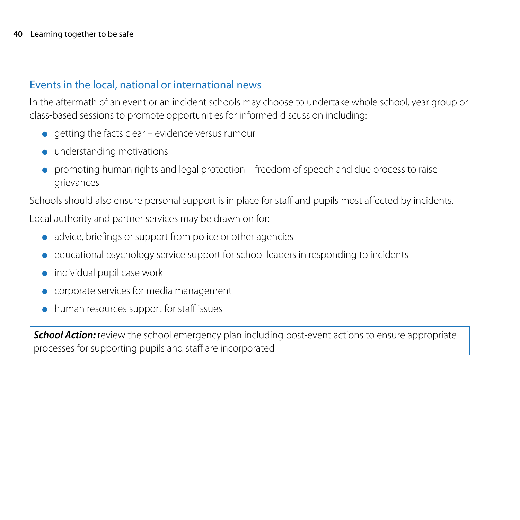#### Events in the local, national or international news

In the aftermath of an event or an incident schools may choose to undertake whole school, year group or class-based sessions to promote opportunities for informed discussion including:

- $\bullet$  getting the facts clear evidence versus rumour
- understanding motivations
- promoting human rights and legal protection freedom of speech and due process to raise grievances

Schools should also ensure personal support is in place for staff and pupils most affected by incidents.

Local authority and partner services may be drawn on for:

- advice, briefings or support from police or other agencies
- educational psychology service support for school leaders in responding to incidents
- individual pupil case work
- corporate services for media management
- human resources support for staff issues

**School Action:** review the school emergency plan including post-event actions to ensure appropriate processes for supporting pupils and staff are incorporated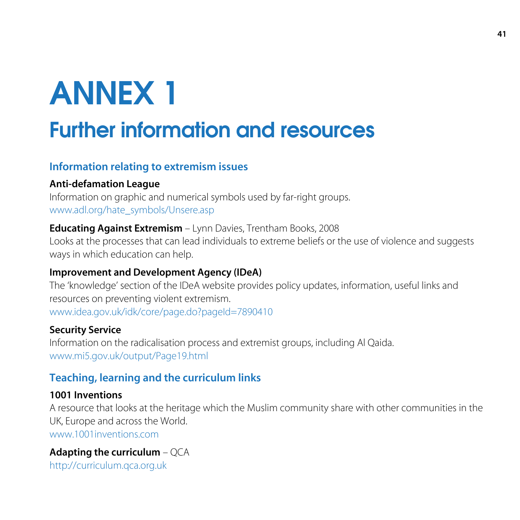# ANNEX 1

## Further information and resources

## **Information relating to extremism issues**

#### **Anti-defamation League**

Information on graphic and numerical symbols used by far-right groups. www.adl.org/hate\_symbols/Unsere.asp

#### **Educating Against Extremism** – Lynn Davies, Trentham Books, 2008

Looks at the processes that can lead individuals to extreme beliefs or the use of violence and suggests ways in which education can help.

#### **Improvement and Development Agency (IDeA)**

The 'knowledge' section of the IDeA website provides policy updates, information, useful links and resources on preventing violent extremism. www.idea.gov.uk/idk/core/page.do?pageId=7890410

#### **Security Service**

Information on the radicalisation process and extremist groups, including Al Qaida. www.mi5.gov.uk/output/Page19.html

## **Teaching, learning and the curriculum links**

#### **1001 Inventions**

A resource that looks at the heritage which the Muslim community share with other communities in the UK, Europe and across the World. www.1001inventions.com

#### **Adapting the curriculum** – QCA http://curriculum.qca.org.uk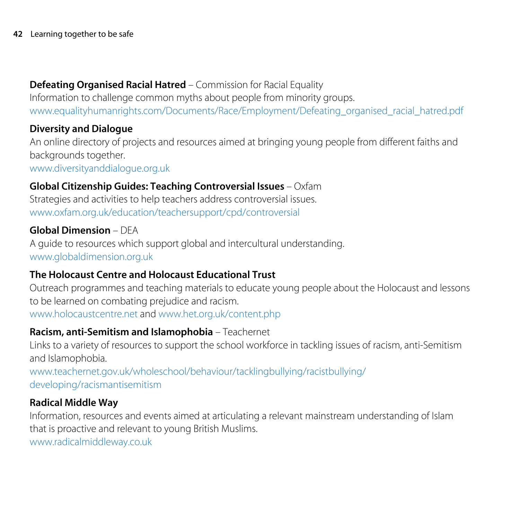## **Defeating Organised Racial Hatred** – Commission for Racial Equality

Information to challenge common myths about people from minority groups. www.equalityhumanrights.com/Documents/Race/Employment/Defeating\_organised\_racial\_hatred.pdf

## **Diversity and Dialogue**

An online directory of projects and resources aimed at bringing young people from different faiths and backgrounds together.

www.diversityanddialogue.org.uk

## **Global Citizenship Guides: Teaching Controversial Issues** – Oxfam

Strategies and activities to help teachers address controversial issues. www.oxfam.org.uk/education/teachersupport/cpd/controversial

## **Global Dimension** – DEA

A guide to resources which support global and intercultural understanding. www.globaldimension.org.uk

## **The Holocaust Centre and Holocaust Educational Trust**

Outreach programmes and teaching materials to educate young people about the Holocaust and lessons to be learned on combating prejudice and racism. www.holocaustcentre.net and www.het.org.uk/content.php

## **Racism, anti-Semitism and Islamophobia** – Teachernet

Links to a variety of resources to support the school workforce in tackling issues of racism, anti-Semitism and Islamophobia.

www.teachernet.gov.uk/wholeschool/behaviour/tacklingbullying/racistbullying/ developing/racismantisemitism

## **Radical Middle Way**

Information, resources and events aimed at articulating a relevant mainstream understanding of Islam that is proactive and relevant to young British Muslims. www.radicalmiddleway.co.uk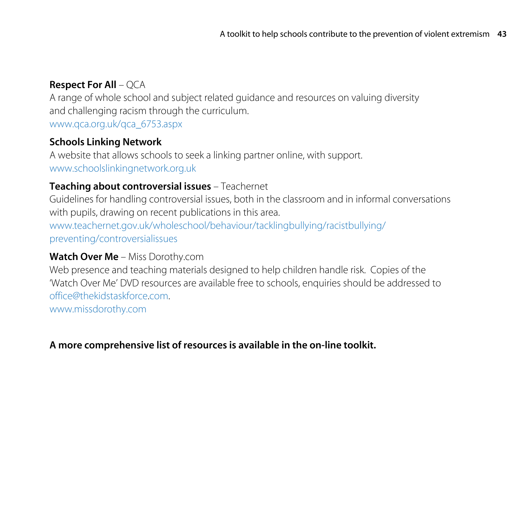## **Respect For All** – QCA

A range of whole school and subject related guidance and resources on valuing diversity and challenging racism through the curriculum. www.qca.org.uk/qca\_6753.aspx

#### **Schools Linking Network**

A website that allows schools to seek a linking partner online, with support. www.schoolslinkingnetwork.org.uk

#### **Teaching about controversial issues** – Teachernet

Guidelines for handling controversial issues, both in the classroom and in informal conversations with pupils, drawing on recent publications in this area. www.teachernet.gov.uk/wholeschool/behaviour/tacklingbullying/racistbullying/ preventing/controversialissues

## **Watch Over Me** – Miss Dorothy.com

Web presence and teaching materials designed to help children handle risk. Copies of the 'Watch Over Me' DVD resources are available free to schools, enquiries should be addressed to office@thekidstaskforce.com.

www.missdorothy.com

## **A more comprehensive list of resources is available in the on-line toolkit.**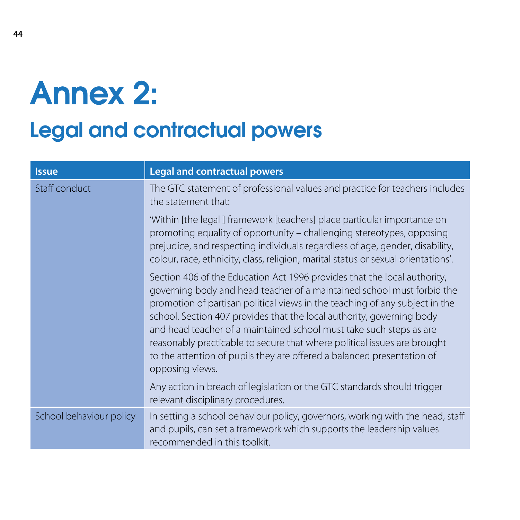# Annex 2:

## Legal and contractual powers

| <b>Issue</b>            | <b>Legal and contractual powers</b>                                                                                                                                                                                                                                                                                                                                                                                                                                                                                                                        |
|-------------------------|------------------------------------------------------------------------------------------------------------------------------------------------------------------------------------------------------------------------------------------------------------------------------------------------------------------------------------------------------------------------------------------------------------------------------------------------------------------------------------------------------------------------------------------------------------|
| Staff conduct           | The GTC statement of professional values and practice for teachers includes<br>the statement that:                                                                                                                                                                                                                                                                                                                                                                                                                                                         |
|                         | 'Within [the legal] framework [teachers] place particular importance on<br>promoting equality of opportunity – challenging stereotypes, opposing<br>prejudice, and respecting individuals regardless of age, gender, disability,<br>colour, race, ethnicity, class, religion, marital status or sexual orientations'.                                                                                                                                                                                                                                      |
|                         | Section 406 of the Education Act 1996 provides that the local authority,<br>governing body and head teacher of a maintained school must forbid the<br>promotion of partisan political views in the teaching of any subject in the<br>school. Section 407 provides that the local authority, governing body<br>and head teacher of a maintained school must take such steps as are<br>reasonably practicable to secure that where political issues are brought<br>to the attention of pupils they are offered a balanced presentation of<br>opposing views. |
|                         | Any action in breach of legislation or the GTC standards should trigger<br>relevant disciplinary procedures.                                                                                                                                                                                                                                                                                                                                                                                                                                               |
| School behaviour policy | In setting a school behaviour policy, governors, working with the head, staff<br>and pupils, can set a framework which supports the leadership values<br>recommended in this toolkit.                                                                                                                                                                                                                                                                                                                                                                      |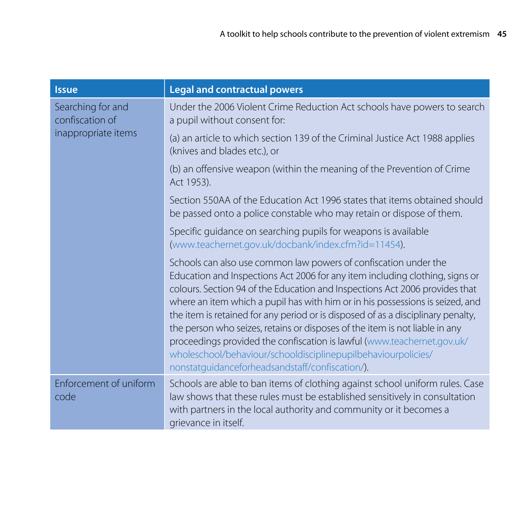| <b>Issue</b>                                                | <b>Legal and contractual powers</b>                                                                                                                                                                                                                                                                                                                                                                                                                                                                                                                                                                                                                                                |
|-------------------------------------------------------------|------------------------------------------------------------------------------------------------------------------------------------------------------------------------------------------------------------------------------------------------------------------------------------------------------------------------------------------------------------------------------------------------------------------------------------------------------------------------------------------------------------------------------------------------------------------------------------------------------------------------------------------------------------------------------------|
| Searching for and<br>confiscation of<br>inappropriate items | Under the 2006 Violent Crime Reduction Act schools have powers to search<br>a pupil without consent for:                                                                                                                                                                                                                                                                                                                                                                                                                                                                                                                                                                           |
|                                                             | (a) an article to which section 139 of the Criminal Justice Act 1988 applies<br>(knives and blades etc.), or                                                                                                                                                                                                                                                                                                                                                                                                                                                                                                                                                                       |
|                                                             | (b) an offensive weapon (within the meaning of the Prevention of Crime<br>Act 1953).                                                                                                                                                                                                                                                                                                                                                                                                                                                                                                                                                                                               |
|                                                             | Section 550AA of the Education Act 1996 states that items obtained should<br>be passed onto a police constable who may retain or dispose of them.                                                                                                                                                                                                                                                                                                                                                                                                                                                                                                                                  |
|                                                             | Specific guidance on searching pupils for weapons is available<br>(www.teachernet.gov.uk/docbank/index.cfm?id=11454).                                                                                                                                                                                                                                                                                                                                                                                                                                                                                                                                                              |
|                                                             | Schools can also use common law powers of confiscation under the<br>Education and Inspections Act 2006 for any item including clothing, signs or<br>colours. Section 94 of the Education and Inspections Act 2006 provides that<br>where an item which a pupil has with him or in his possessions is seized, and<br>the item is retained for any period or is disposed of as a disciplinary penalty,<br>the person who seizes, retains or disposes of the item is not liable in any<br>proceedings provided the confiscation is lawful (www.teachernet.gov.uk/<br>wholeschool/behaviour/schooldisciplinepupilbehaviourpolicies/<br>nonstatguidanceforheadsandstaff/confiscation/). |
| Enforcement of uniform<br>code                              | Schools are able to ban items of clothing against school uniform rules. Case<br>law shows that these rules must be established sensitively in consultation<br>with partners in the local authority and community or it becomes a<br>grievance in itself.                                                                                                                                                                                                                                                                                                                                                                                                                           |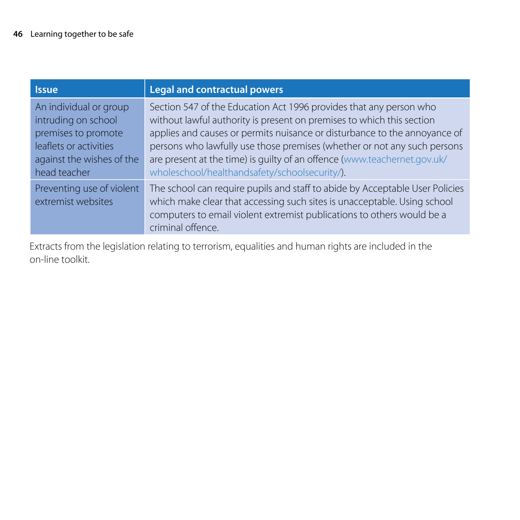| <b>Issue</b>                                                                                                                                | <b>Legal and contractual powers</b>                                                                                                                                                                                                                                                                                                                                                                                               |
|---------------------------------------------------------------------------------------------------------------------------------------------|-----------------------------------------------------------------------------------------------------------------------------------------------------------------------------------------------------------------------------------------------------------------------------------------------------------------------------------------------------------------------------------------------------------------------------------|
| An individual or group<br>intruding on school<br>premises to promote<br>leaflets or activities<br>against the wishes of the<br>head teacher | Section 547 of the Education Act 1996 provides that any person who<br>without lawful authority is present on premises to which this section<br>applies and causes or permits nuisance or disturbance to the annoyance of<br>persons who lawfully use those premises (whether or not any such persons<br>are present at the time) is quilty of an offence (www.teachernet.gov.uk/<br>wholeschool/healthandsafety/schoolsecurity/). |
| Preventing use of violent<br>extremist websites                                                                                             | The school can require pupils and staff to abide by Acceptable User Policies<br>which make clear that accessing such sites is unacceptable. Using school<br>computers to email violent extremist publications to others would be a<br>criminal offence.                                                                                                                                                                           |

Extracts from the legislation relating to terrorism, equalities and human rights are included in the on-line toolkit.